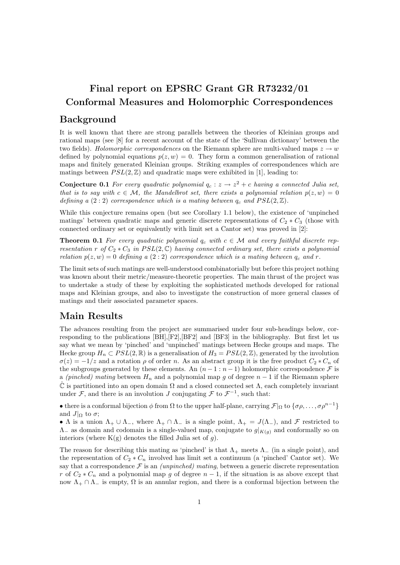# Final report on EPSRC Grant GR R73232/01 Conformal Measures and Holomorphic Correspondences

#### Background

It is well known that there are strong parallels between the theories of Kleinian groups and rational maps (see [8] for a recent account of the state of the 'Sullivan dictionary' between the two fields). Holomorphic correspondences on the Riemann sphere are multi-valued maps  $z \to w$ defined by polynomial equations  $p(z, w) = 0$ . They form a common generalisation of rational maps and finitely generated Kleinian groups. Striking examples of correspondences which are matings between  $PSL(2, \mathbb{Z})$  and quadratic maps were exhibited in [1], leading to:

**Conjecture 0.1** For every quadratic polynomial  $q_c : z \to z^2 + c$  having a connected Julia set, that is to say with  $c \in \mathcal{M}$ , the Mandelbrot set, there exists a polynomial relation  $p(z, w) = 0$ defining a  $(2:2)$  correspondence which is a mating between  $q_c$  and  $PSL(2, \mathbb{Z})$ .

While this conjecture remains open (but see Corollary 1.1 below), the existence of 'unpinched matings' between quadratic maps and generic discrete representations of  $C_2 * C_3$  (those with connected ordinary set or equivalently with limit set a Cantor set) was proved in [2]:

**Theorem 0.1** For every quadratic polynomial  $q_c$  with  $c \in \mathcal{M}$  and every faithful discrete representation r of  $C_2 * C_3$  in  $PSL(2, \mathbb{C})$  having connected ordinary set, there exists a polynomial relation  $p(z, w) = 0$  defining a  $(2:2)$  correspondence which is a mating between  $q_c$  and r.

The limit sets of such matings are well-understood combinatorially but before this project nothing was known about their metric/measure-theoretic properties. The main thrust of the project was to undertake a study of these by exploiting the sophisticated methods developed for rational maps and Kleinian groups, and also to investigate the construction of more general classes of matings and their associated parameter spaces.

### Main Results

The advances resulting from the project are summarised under four sub-headings below, corresponding to the publications [BH],[F2],[BF2] and [BF3] in the bibliography. But first let us say what we mean by 'pinched' and 'unpinched' matings between Hecke groups and maps. The Hecke group  $H_n \subset PSL(2,\mathbb{R})$  is a generalisation of  $H_3 = PSL(2,\mathbb{Z})$ , generated by the involution  $\sigma(z) = -1/z$  and a rotation  $\rho$  of order n. As an abstract group it is the free product  $C_2 * C_n$  of the subgroups generated by these elements. An  $(n-1:n-1)$  holomorphic correspondence  $\mathcal F$  is a (pinched) mating between  $H_n$  and a polynomial map g of degree  $n-1$  if the Riemann sphere  $\hat{\mathbb{C}}$  is partitioned into an open domain  $\Omega$  and a closed connected set  $\Lambda$ , each completely invariant under  $\mathcal{F}$ , and there is an involution J conjugating  $\mathcal{F}$  to  $\mathcal{F}^{-1}$ , such that:

• there is a conformal bijection  $\phi$  from  $\Omega$  to the upper half-plane, carrying  $\mathcal{F}|_{\Omega}$  to  $\{\sigma\rho, \ldots, \sigma\rho^{n-1}\}\$ and  $J|_{\Omega}$  to  $\sigma$ ;

• Λ is a union  $\Lambda_+ \cup \Lambda_-,$  where  $\Lambda_+ \cap \Lambda_-$  is a single point,  $\Lambda_+ = J(\Lambda_-),$  and F restricted to  $\Lambda_{-}$  as domain and codomain is a single-valued map, conjugate to  $g|_{K(q)}$  and conformally so on interiors (where  $K(g)$  denotes the filled Julia set of g).

The reason for describing this mating as 'pinched' is that  $\Lambda_+$  meets  $\Lambda_-$  (in a single point), and the representation of  $C_2 * C_n$  involved has limit set a continuum (a 'pinched' Cantor set). We say that a correspondence  $\mathcal F$  is an *(unpinched) mating*, between a generic discrete representation r of  $C_2 * C_n$  and a polynomial map g of degree  $n-1$ , if the situation is as above except that now  $\Lambda_+ \cap \Lambda_-$  is empty,  $\Omega$  is an annular region, and there is a conformal bijection between the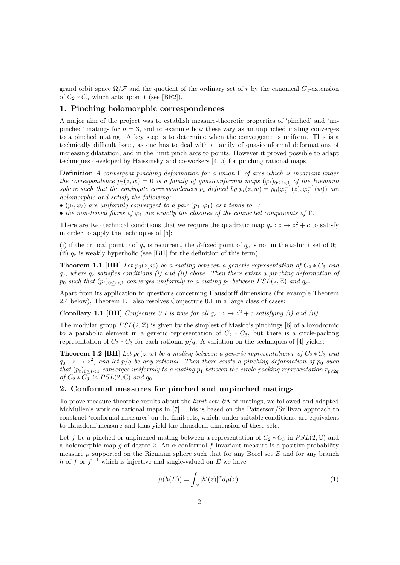grand orbit space  $\Omega/\mathcal{F}$  and the quotient of the ordinary set of r by the canonical C<sub>2</sub>-extension of  $C_2 * C_n$  which acts upon it (see [BF2]).

#### 1. Pinching holomorphic correspondences

A major aim of the project was to establish measure-theoretic properties of 'pinched' and 'unpinched' matings for  $n = 3$ , and to examine how these vary as an unpinched mating converges to a pinched mating. A key step is to determine when the convergence is uniform. This is a technically difficult issue, as one has to deal with a family of quasiconformal deformations of increasing dilatation, and in the limit pinch arcs to points. However it proved possible to adapt techniques developed by Haïssinsky and co-workers  $[4, 5]$  for pinching rational maps.

**Definition** A convergent pinching deformation for a union  $\Gamma$  of arcs which is invariant under the correspondence  $p_0(z, w) = 0$  is a family of quasiconformal maps  $(\varphi_t)_{0 \le t \le 1}$  of the Riemann sphere such that the conjugate correspondences  $p_t$  defined by  $p_t(z, w) = p_0(\varphi_t^{-1}(z), \varphi_t^{-1}(w))$  are holomorphic and satisfy the following:

•  $(p_t, \varphi_t)$  are uniformly convergent to a pair  $(p_1, \varphi_1)$  as t tends to 1;

• the non-trivial fibres of  $\varphi_1$  are exactly the closures of the connected components of  $\Gamma$ .

There are two technical conditions that we require the quadratic map  $q_c : z \to z^2 + c$  to satisfy in order to apply the techniques of [5]:

(i) if the critical point 0 of  $q_c$  is recurrent, the β-fixed point of  $q_c$  is not in the  $\omega$ -limit set of 0; (ii)  $q_c$  is weakly hyperbolic (see [BH] for the definition of this term).

**Theorem 1.1 [BH]** Let  $p_0(z, w)$  be a mating between a generic representation of  $C_2 * C_3$  and  $q_c$ , where  $q_c$  satisfies conditions (i) and (ii) above. Then there exists a pinching deformation of  $p_0$  such that  $(p_t)_{0 \le t \le 1}$  converges uniformly to a mating  $p_1$  between  $PSL(2, \mathbb{Z})$  and  $q_c$ .

Apart from its application to questions concerning Hausdorff dimensions (for example Theorem 2.4 below), Theorem 1.1 also resolves Conjecture 0.1 in a large class of cases:

**Corollary 1.1 [BH]** Conjecture 0.1 is true for all  $q_c : z \to z^2 + c$  satisfying (i) and (ii).

The modular group  $PSL(2, \mathbb{Z})$  is given by the simplest of Maskit's pinchings [6] of a loxodromic to a parabolic element in a generic representation of  $C_2 * C_3$ , but there is a circle-packing representation of  $C_2 * C_3$  for each rational  $p/q$ . A variation on the techniques of [4] yields:

**Theorem 1.2 [BH]** Let  $p_0(z, w)$  be a mating between a generic representation r of  $C_2 * C_3$  and  $q_0: z \to z^2$ , and let  $p/q$  be any rational. Then there exists a pinching deformation of  $p_0$  such that  $(p_t)_{0 \le t < 1}$  converges uniformly to a mating  $p_1$  between the circle-packing representation  $r_{p/2q}$ of  $C_2 * C_3$  in  $PSL(2, \mathbb{C})$  and  $q_0$ .

#### 2. Conformal measures for pinched and unpinched matings

To prove measure-theoretic results about the *limit sets*  $\partial \Lambda$  of matings, we followed and adapted McMullen's work on rational maps in [7]. This is based on the Patterson/Sullivan approach to construct 'conformal measures' on the limit sets, which, under suitable conditions, are equivalent to Hausdorff measure and thus yield the Hausdorff dimension of these sets.

Let f be a pinched or unpinched mating between a representation of  $C_2 * C_3$  in  $PSL(2,\mathbb{C})$  and a holomorphic map g of degree 2. An  $\alpha$ -conformal f-invariant measure is a positive probability measure  $\mu$  supported on the Riemann sphere such that for any Borel set E and for any branch h of f or  $f^{-1}$  which is injective and single-valued on E we have

$$
\mu(h(E)) = \int_E |h'(z)|^\alpha d\mu(z). \tag{1}
$$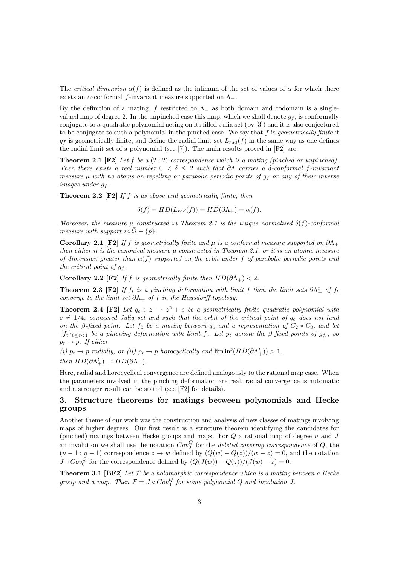The critical dimension  $\alpha(f)$  is defined as the infimum of the set of values of  $\alpha$  for which there exists an  $\alpha$ -conformal f-invariant measure supported on  $\Lambda_+$ .

By the definition of a mating, f restricted to  $\Lambda$  as both domain and codomain is a singlevalued map of degree 2. In the unpinched case this map, which we shall denote  $g_f$ , is conformally conjugate to a quadratic polynomial acting on its filled Julia set (by [3]) and it is also conjectured to be conjugate to such a polynomial in the pinched case. We say that  $f$  is *geometrically finite* if  $g_f$  is geometrically finite, and define the radial limit set  $L_{rad}(f)$  in the same way as one defines the radial limit set of a polynomial (see [7]). The main results proved in [F2] are:

**Theorem 2.1** [F2] Let f be a  $(2:2)$  correspondence which is a mating (pinched or unpinched). Then there exists a real number  $0 < \delta \leq 2$  such that  $\partial \Lambda$  carries a δ-conformal f-invariant measure  $\mu$  with no atoms on repelling or parabolic periodic points of  $g_f$  or any of their inverse images under  $g_f$ .

**Theorem 2.2 [F2]** If f is as above and geometrically finite, then

$$
\delta(f) = HD(L_{rad}(f)) = HD(\partial \Lambda_+) = \alpha(f).
$$

Moreover, the measure  $\mu$  constructed in Theorem 2.1 is the unique normalised  $\delta(f)$ -conformal measure with support in  $\overline{\Omega} - \{p\}.$ 

Corollary 2.1 [F2] If f is geometrically finite and  $\mu$  is a conformal measure supported on  $\partial\Lambda_+$ then either it is the canonical measure  $\mu$  constructed in Theorem 2.1, or it is an atomic measure of dimension greater than  $\alpha(f)$  supported on the orbit under f of parabolic periodic points and the critical point of  $g_f$ .

Corollary 2.2 [F2] If f is geometrically finite then  $HD(\partial \Lambda_+) < 2$ .

**Theorem 2.3** [F2] If  $f_t$  is a pinching deformation with limit f then the limit sets  $\partial \Lambda_+^t$  of  $f_t$ converge to the limit set  $\partial \Lambda_+$  of f in the Hausdorff topology.

**Theorem 2.4 [F2]** Let  $q_c : z \to z^2 + c$  be a geometrically finite quadratic polynomial with  $c \neq 1/4$ , connected Julia set and such that the orbit of the critical point of  $q_c$  does not land on the β-fixed point. Let  $f_0$  be a mating between  $q_c$  and a representation of  $C_2 * C_3$ , and let  ${f_t}_{0 \leq t < 1}$  be a pinching deformation with limit f. Let  $p_t$  denote the  $\beta$ -fixed points of  $g_{f_t}$ , so  $p_t \rightarrow p$ . If either

(i)  $p_t \to p$  radially, or (ii)  $p_t \to p$  horocyclically and  $\liminf(HD(\partial \Lambda_+^t)) > 1$ , then  $HD(\partial \Lambda^t_+) \to HD(\partial \Lambda_+).$ 

Here, radial and horocyclical convergence are defined analogously to the rational map case. When the parameters involved in the pinching deformation are real, radial convergence is automatic and a stronger result can be stated (see [F2] for details).

#### 3. Structure theorems for matings between polynomials and Hecke groups

Another theme of our work was the construction and analysis of new classes of matings involving maps of higher degrees. Our first result is a structure theorem identifying the candidates for (pinched) matings between Hecke groups and maps. For  $Q$  a rational map of degree  $n$  and  $J$ an involution we shall use the notation  $Cov_0^Q$  for the *deleted covering correspondence* of  $Q$ , the  $(n-1:n-1)$  correspondence  $z \to w$  defined by  $(Q(w) - Q(z))/(w - z) = 0$ , and the notation  $J \circ Cov_0^Q$  for the correspondence defined by  $(Q(J(w)) - Q(z))/(J(w) - z) = 0$ .

**Theorem 3.1 [BF2]** Let  $\mathcal F$  be a holomorphic correspondence which is a mating between a Hecke group and a map. Then  $\mathcal{F} = J \circ Cov_0^Q$  for some polynomial Q and involution J.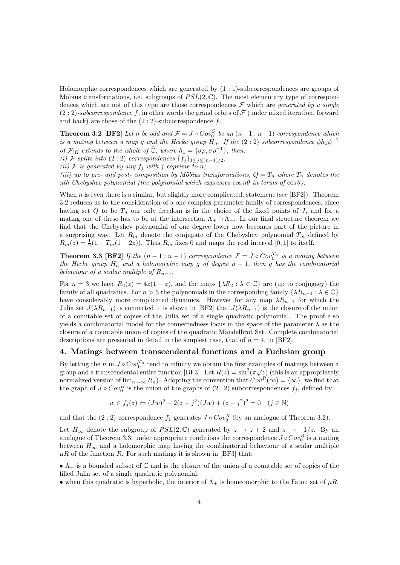Holomorphic correspondences which are generated by (1 : 1)-subcorrespondences are groups of Möbius transformations, i.e. subgroups of  $PSL(2,\mathbb{C})$ . The most elementary type of correspondences which are not of this type are those correspondences  $\mathcal F$  which are *generated by a single*  $(2:2)$ -subcorrespondence f, in other words the grand orbits of  $\mathcal F$  (under mixed iteration, forward and back) are those of the  $(2:2)$ -subcorrespondence f.

**Theorem 3.2** [BF2] Let n be odd and  $\mathcal{F} = J \circ Cov_0^Q$  be an  $(n-1:n-1)$  correspondence which is a mating between a map g and the Hecke group  $H_n$ . If the  $(2:2)$  subcorrespondence  $\phi h_1 \phi^{-1}$ of  $\mathcal{F}|_{\Omega}$  extends to the whole of  $\hat{\mathbb{C}}$ , where  $h_1 = {\sigma \rho, \sigma \rho^{-1}}$ , then:

(i) F splits into (2 : 2) correspondences  $\{f_j\}_{1 \leq j \leq (n-1)/2}$ ;

(ii)  $\mathcal F$  is generated by any  $f_i$  with j coprime to n;

(iii) up to pre- and post- composition by Möbius transformations,  $Q = T_n$  where  $T_n$  denotes the nth Chebyshev polynomial (the polynomial which expresses  $\cos n\theta$  in terms of  $\cos \theta$ ).

When  $n$  is even there is a similar, but slightly more complicated, statement (see [BF2]). Theorem 3.2 reduces us to the consideration of a one complex parameter family of correspondences, since having set Q to be  $T_n$  our only freedom is in the choice of the fixed points of J, and for a mating one of these has to be at the intersection  $\Lambda_+ \cap \Lambda_-$ . In our final structure theorem we find that the Chebyshev polynomial of one degree lower now becomes part of the picture in a surprising way. Let  $R_m$  denote the conjugate of the Chebyshev polynomial  $T_m$  defined by  $R_m(z) = \frac{1}{2}(1 - T_m(1 - 2z))$ . Thus  $R_m$  fixes 0 and maps the real interval [0, 1] to itself.

**Theorem 3.3 [BF2]** If the  $(n-1:n-1)$  correspondence  $\mathcal{F} = J \circ Cov_0^{T_n}$  is a mating between the Hecke group  $H_n$  and a holomorphic map g of degree  $n-1$ , then g has the combinatorial behaviour of a scalar multiple of  $R_{n-1}$ .

For  $n = 3$  we have  $R_2(z) = 4z(1-z)$ , and the maps  $\{\lambda R_2 : \lambda \in \mathbb{C}\}\$  are (up to conjugacy) the family of all quadratics. For  $n > 3$  the polynomials in the corresponding family  $\{\lambda R_{n-1} : \lambda \in \mathbb{C}\}\$ have considerably more complicated dynamics. However for any map  $\lambda R_{n-1}$  for which the Julia set  $J(\lambda R_{n-1})$  is connected it is shown in [BF2] that  $J(\lambda R_{n-1})$  is the closure of the union of a countable set of copies of the Julia set of a single quadratic polynomial. The proof also yields a combinatorial model for the connectedness locus in the space of the parameter  $\lambda$  as the closure of a countable union of copies of the quadratic Mandelbrot Set. Complete combinatorial descriptions are presented in detail in the simplest case, that of  $n = 4$ , in [BF2].

#### 4. Matings between transcendental functions and a Fuchsian group

By letting the n in  $J \circ Cov_0^{T_n}$  tend to infinity we obtain the first examples of matings between a By letting the *n* in  $J \circ \text{Cov}_0$  tend to minity we obtain the first examples of matings between a group and a transcendental entire function [BF3]. Let  $R(z) = \sin^2(\pi \sqrt{z})$  (this is an appropriately normalized version of  $\lim_{n\to\infty} R_n$ ). Adopting the convention that  $Cov^R(\infty) = {\infty}$ , we find that the graph of  $J \circ Cov_0^R$  is the union of the graphs of  $(2:2)$  subcorrespondences  $f_j$ , defined by

$$
w \in f_j(z) \Leftrightarrow (Jw)^2 - 2(z + j^2)(Jw) + (z - j^2)^2 = 0 \quad (j \in \mathbb{N})
$$

and that the  $(2:2)$  correspondence  $f_1$  generates  $J \circ Cov_0^R$  (by an analogue of Theorem 3.2).

Let  $H_{\infty}$  denote the subgroup of  $PSL(2,\mathbb{C})$  generated by  $z \to z + 2$  and  $z \to -1/z$ . By an analogue of Theorem 3.3, under appropriate conditions the correspondence  $J \circ Cov_0^R$  is a mating between  $H_{\infty}$  and a holomorphic map having the combinatorial behaviour of a scalar multiple  $\mu R$  of the function R. For such matings it is shown in [BF3] that:

•  $\Lambda_+$  is a bounded subset of  $\mathbb C$  and is the closure of the union of a countable set of copies of the filled Julia set of a single quadratic polynomial;

• when this quadratic is hyperbolic, the interior of  $\Lambda_{+}$  is homeomorphic to the Fatou set of  $\mu R$ .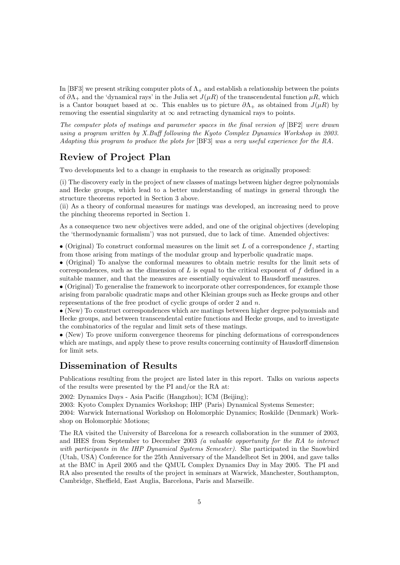In [BF3] we present striking computer plots of  $\Lambda_+$  and establish a relationship between the points of  $\partial\Lambda_+$  and the 'dynamical rays' in the Julia set  $J(\mu R)$  of the transcendental function  $\mu R$ , which is a Cantor bouquet based at  $\infty$ . This enables us to picture  $\partial\Lambda_+$  as obtained from  $J(\mu R)$  by removing the essential singularity at  $\infty$  and retracting dynamical rays to points.

The computer plots of matings and parameter spaces in the final version of [BF2] were drawn using a program written by X.Buff following the Kyoto Complex Dynamics Workshop in 2003. Adapting this program to produce the plots for [BF3] was a very useful experience for the RA.

# Review of Project Plan

Two developments led to a change in emphasis to the research as originally proposed:

(i) The discovery early in the project of new classes of matings between higher degree polynomials and Hecke groups, which lead to a better understanding of matings in general through the structure theorems reported in Section 3 above.

(ii) As a theory of conformal measures for matings was developed, an increasing need to prove the pinching theorems reported in Section 1.

As a consequence two new objectives were added, and one of the original objectives (developing the 'thermodynamic formalism') was not pursued, due to lack of time. Amended objectives:

• (Original) To construct conformal measures on the limit set L of a correspondence  $f$ , starting from those arising from matings of the modular group and hyperbolic quadratic maps.

• (Original) To analyse the conformal measures to obtain metric results for the limit sets of correspondences, such as the dimension of  $L$  is equal to the critical exponent of  $f$  defined in a suitable manner, and that the measures are essentially equivalent to Hausdorff measures.

• (Original) To generalise the framework to incorporate other correspondences, for example those arising from parabolic quadratic maps and other Kleinian groups such as Hecke groups and other representations of the free product of cyclic groups of order 2 and n.

• (New) To construct correspondences which are matings between higher degree polynomials and Hecke groups, and between transcendental entire functions and Hecke groups, and to investigate the combinatorics of the regular and limit sets of these matings.

• (New) To prove uniform convergence theorems for pinching deformations of correspondences which are matings, and apply these to prove results concerning continuity of Hausdorff dimension for limit sets.

### Dissemination of Results

Publications resulting from the project are listed later in this report. Talks on various aspects of the results were presented by the PI and/or the RA at:

2002: Dynamics Days - Asia Pacific (Hangzhou); ICM (Beijing);

2003: Kyoto Complex Dynamics Workshop; IHP (Paris) Dynamical Systems Semester;

2004: Warwick International Workshop on Holomorphic Dynamics; Roskilde (Denmark) Workshop on Holomorphic Motions;

The RA visited the University of Barcelona for a research collaboration in the summer of 2003, and IHES from September to December 2003 (a valuable opportunity for the RA to interact with participants in the IHP Dynamical Systems Semester). She participated in the Snowbird (Utah, USA) Conference for the 25th Anniversary of the Mandelbrot Set in 2004, and gave talks at the BMC in April 2005 and the QMUL Complex Dynamics Day in May 2005. The PI and RA also presented the results of the project in seminars at Warwick, Manchester, Southampton, Cambridge, Sheffield, East Anglia, Barcelona, Paris and Marseille.